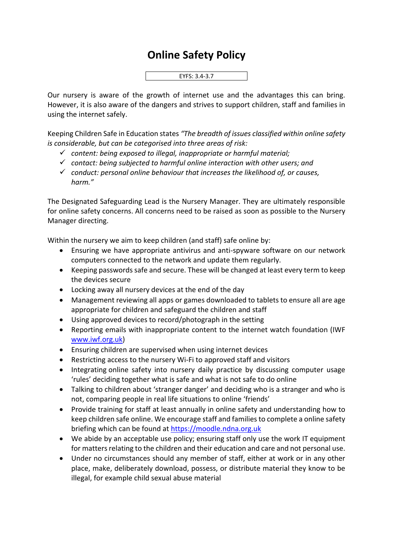## **Online Safety Policy**



Our nursery is aware of the growth of internet use and the advantages this can bring. However, it is also aware of the dangers and strives to support children, staff and families in using the internet safely.

Keeping Children Safe in Education states *"The breadth of issues classified within online safety is considerable, but can be categorised into three areas of risk:*

- ✓ *content: being exposed to illegal, inappropriate or harmful material;*
- ✓ *contact: being subjected to harmful online interaction with other users; and*
- ✓ *conduct: personal online behaviour that increases the likelihood of, or causes, harm."*

The Designated Safeguarding Lead is the Nursery Manager. They are ultimately responsible for online safety concerns. All concerns need to be raised as soon as possible to the Nursery Manager directing.

Within the nursery we aim to keep children (and staff) safe online by:

- Ensuring we have appropriate antivirus and anti-spyware software on our network computers connected to the network and update them regularly.
- Keeping passwords safe and secure. These will be changed at least every term to keep the devices secure
- Locking away all nursery devices at the end of the day
- Management reviewing all apps or games downloaded to tablets to ensure all are age appropriate for children and safeguard the children and staff
- Using approved devices to record/photograph in the setting
- Reporting emails with inappropriate content to the internet watch foundation (IWF [www.iwf.org.uk\)](http://www.iwf.org.uk/)
- Ensuring children are supervised when using internet devices
- Restricting access to the nursery Wi-Fi to approved staff and visitors
- Integrating online safety into nursery daily practice by discussing computer usage 'rules' deciding together what is safe and what is not safe to do online
- Talking to children about 'stranger danger' and deciding who is a stranger and who is not, comparing people in real life situations to online 'friends'
- Provide training for staff at least annually in online safety and understanding how to keep children safe online. We encourage staff and families to complete a online safety briefing which can be found at [https://moodle.ndna.org.uk](https://moodle.ndna.org.uk/course/index.php?categoryid=27)
- We abide by an acceptable use policy; ensuring staff only use the work IT equipment for matters relating to the children and their education and care and not personal use.
- Under no circumstances should any member of staff, either at work or in any other place, make, deliberately download, possess, or distribute material they know to be illegal, for example child sexual abuse material